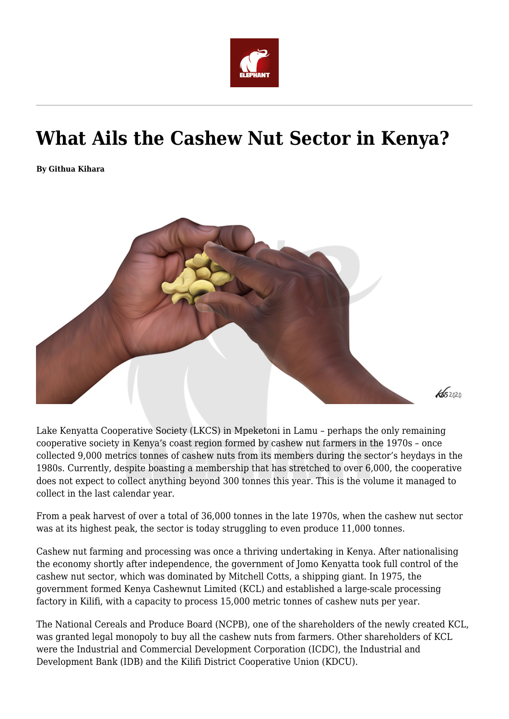

# **What Ails the Cashew Nut Sector in Kenya?**

**By Githua Kihara**



Lake Kenyatta Cooperative Society (LKCS) in Mpeketoni in Lamu – perhaps the only remaining cooperative society in Kenya's coast region formed by cashew nut farmers in the 1970s – once collected 9,000 metrics tonnes of cashew nuts from its members during the sector's heydays in the 1980s. Currently, despite boasting a membership that has stretched to over 6,000, the cooperative does not expect to collect anything beyond 300 tonnes this year. This is the volume it managed to collect in the last calendar year.

From a peak harvest of over a total of 36,000 tonnes in the late 1970s, when the cashew nut sector was at its highest peak, the sector is today struggling to even produce 11,000 tonnes.

Cashew nut farming and processing was once a thriving undertaking in Kenya. After nationalising the economy shortly after independence, the government of Jomo Kenyatta took full control of the cashew nut sector, which was dominated by Mitchell Cotts, a shipping giant. In 1975, the government formed Kenya Cashewnut Limited (KCL) and established a large-scale processing factory in Kilifi, with a capacity to process 15,000 metric tonnes of cashew nuts per year.

The National Cereals and Produce Board (NCPB), one of the shareholders of the newly created KCL, was granted legal monopoly to buy all the cashew nuts from farmers. Other shareholders of KCL were the Industrial and Commercial Development Corporation (ICDC), the Industrial and Development Bank (IDB) and the Kilifi District Cooperative Union (KDCU).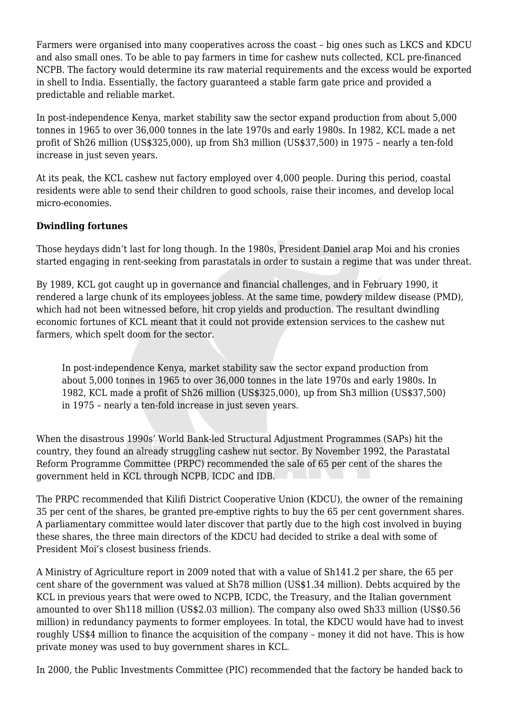Farmers were organised into many cooperatives across the coast – big ones such as LKCS and KDCU and also small ones. To be able to pay farmers in time for cashew nuts collected, KCL pre-financed NCPB. The factory would determine its raw material requirements and the excess would be exported in shell to India. Essentially, the factory guaranteed a stable farm gate price and provided a predictable and reliable market.

In post-independence Kenya, market stability saw the sector expand production from about 5,000 tonnes in 1965 to over 36,000 tonnes in the late 1970s and early 1980s. In 1982, KCL made a net profit of Sh26 million (US\$325,000), up from Sh3 million (US\$37,500) in 1975 – nearly a ten-fold increase in just seven years.

At its peak, the KCL cashew nut factory employed over 4,000 people. During this period, coastal residents were able to send their children to good schools, raise their incomes, and develop local micro-economies.

# **Dwindling fortunes**

Those heydays didn't last for long though. In the 1980s, President Daniel arap Moi and his cronies started engaging in rent-seeking from parastatals in order to sustain a regime that was under threat.

By 1989, KCL got caught up in governance and financial challenges, and in February 1990, it rendered a large chunk of its employees jobless. At the same time, powdery mildew disease (PMD), which had not been witnessed before, hit crop yields and production. The resultant dwindling economic fortunes of KCL meant that it could not provide extension services to the cashew nut farmers, which spelt doom for the sector.

In post-independence Kenya, market stability saw the sector expand production from about 5,000 tonnes in 1965 to over 36,000 tonnes in the late 1970s and early 1980s. In 1982, KCL made a profit of Sh26 million (US\$325,000), up from Sh3 million (US\$37,500) in 1975 – nearly a ten-fold increase in just seven years.

When the disastrous 1990s' World Bank-led Structural Adjustment Programmes (SAPs) hit the country, they found an already struggling cashew nut sector. By November 1992, the Parastatal Reform Programme Committee (PRPC) recommended the sale of 65 per cent of the shares the government held in KCL through NCPB, ICDC and IDB.

The PRPC recommended that Kilifi District Cooperative Union (KDCU), the owner of the remaining 35 per cent of the shares, be granted pre-emptive rights to buy the 65 per cent government shares. A parliamentary committee would later discover that partly due to the high cost involved in buying these shares, the three main directors of the KDCU had decided to strike a deal with some of President Moi's closest business friends.

A Ministry of Agriculture report in 2009 noted that with a value of Sh141.2 per share, the 65 per cent share of the government was valued at Sh78 million (US\$1.34 million). Debts acquired by the KCL in previous years that were owed to NCPB, ICDC, the Treasury, and the Italian government amounted to over Sh118 million (US\$2.03 million). The company also owed Sh33 million (US\$0.56 million) in redundancy payments to former employees. In total, the KDCU would have had to invest roughly US\$4 million to finance the acquisition of the company – money it did not have. This is how private money was used to buy government shares in KCL.

In 2000, the Public Investments Committee (PIC) recommended that the factory be handed back to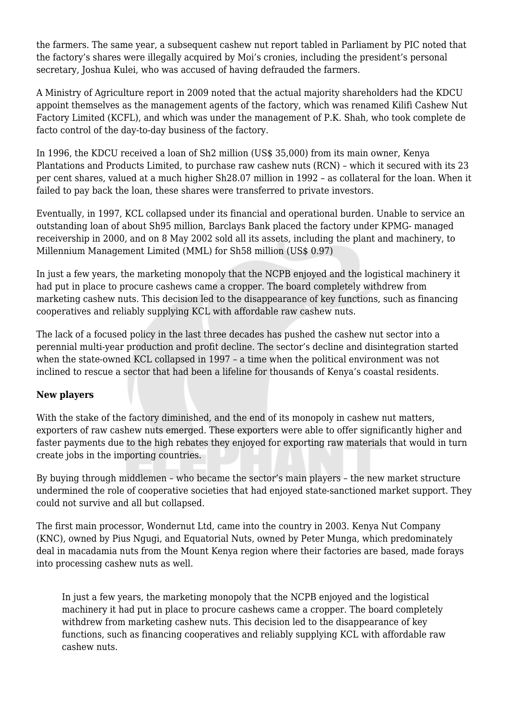the farmers. The same year, a subsequent cashew nut report tabled in Parliament by PIC noted that the factory's shares were illegally acquired by Moi's cronies, including the president's personal secretary, Joshua Kulei, who was accused of having defrauded the farmers.

A Ministry of Agriculture report in 2009 noted that the actual majority shareholders had the KDCU appoint themselves as the management agents of the factory, which was renamed Kilifi Cashew Nut Factory Limited (KCFL), and which was under the management of P.K. Shah, who took complete de facto control of the day-to-day business of the factory.

In 1996, the KDCU received a loan of Sh2 million (US\$ 35,000) from its main owner, Kenya Plantations and Products Limited, to purchase raw cashew nuts (RCN) – which it secured with its 23 per cent shares, valued at a much higher Sh28.07 million in 1992 – as collateral for the loan. When it failed to pay back the loan, these shares were transferred to private investors.

Eventually, in 1997, KCL collapsed under its financial and operational burden. Unable to service an outstanding loan of about Sh95 million, Barclays Bank placed the factory under KPMG- managed receivership in 2000, and on 8 May 2002 sold all its assets, including the plant and machinery, to Millennium Management Limited (MML) for Sh58 million (US\$ 0.97)

In just a few years, the marketing monopoly that the NCPB enjoyed and the logistical machinery it had put in place to procure cashews came a cropper. The board completely withdrew from marketing cashew nuts. This decision led to the disappearance of key functions, such as financing cooperatives and reliably supplying KCL with affordable raw cashew nuts.

The lack of a focused policy in the last three decades has pushed the cashew nut sector into a perennial multi-year production and profit decline. The sector's decline and disintegration started when the state-owned KCL collapsed in 1997 – a time when the political environment was not inclined to rescue a sector that had been a lifeline for thousands of Kenya's coastal residents.

### **New players**

With the stake of the factory diminished, and the end of its monopoly in cashew nut matters, exporters of raw cashew nuts emerged. These exporters were able to offer significantly higher and faster payments due to the high rebates they enjoyed for exporting raw materials that would in turn create jobs in the importing countries.

By buying through middlemen – who became the sector's main players – the new market structure undermined the role of cooperative societies that had enjoyed state-sanctioned market support. They could not survive and all but collapsed.

The first main processor, Wondernut Ltd, came into the country in 2003. Kenya Nut Company (KNC), owned by Pius Ngugi, and Equatorial Nuts, owned by Peter Munga, which predominately deal in macadamia nuts from the Mount Kenya region where their factories are based, made forays into processing cashew nuts as well.

In just a few years, the marketing monopoly that the NCPB enjoyed and the logistical machinery it had put in place to procure cashews came a cropper. The board completely withdrew from marketing cashew nuts. This decision led to the disappearance of key functions, such as financing cooperatives and reliably supplying KCL with affordable raw cashew nuts.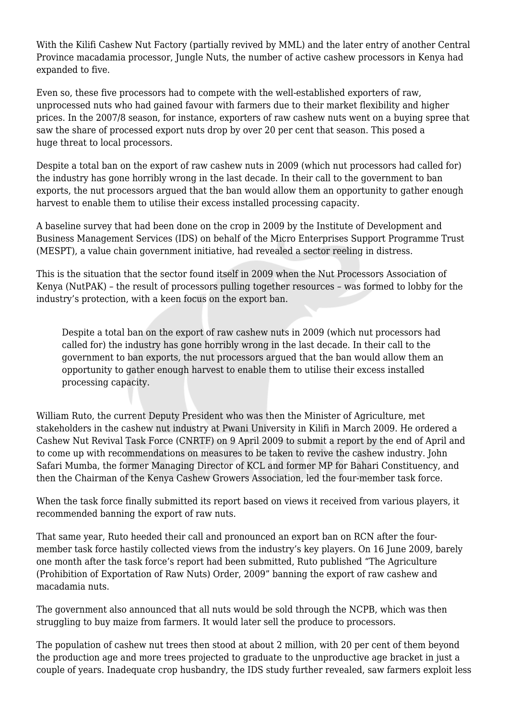With the Kilifi Cashew Nut Factory (partially revived by MML) and the later entry of another Central Province macadamia processor, Jungle Nuts, the number of active cashew processors in Kenya had expanded to five.

Even so, these five processors had to compete with the well-established exporters of raw, unprocessed nuts who had gained favour with farmers due to their market flexibility and higher prices. In the 2007/8 season, for instance, exporters of raw cashew nuts went on a buying spree that saw the share of processed export nuts drop by over 20 per cent that season. This posed a huge threat to local processors.

Despite a total ban on the export of raw cashew nuts in 2009 (which nut processors had called for) the industry has gone horribly wrong in the last decade. In their call to the government to ban exports, the nut processors argued that the ban would allow them an opportunity to gather enough harvest to enable them to utilise their excess installed processing capacity.

A baseline survey that had been done on the crop in 2009 by the Institute of Development and Business Management Services (IDS) on behalf of the Micro Enterprises Support Programme Trust (MESPT), a value chain government initiative, had revealed a sector reeling in distress.

This is the situation that the sector found itself in 2009 when the Nut Processors Association of Kenya (NutPAK) – the result of processors pulling together resources – was formed to lobby for the industry's protection, with a keen focus on the export ban.

Despite a total ban on the export of raw cashew nuts in 2009 (which nut processors had called for) the industry has gone horribly wrong in the last decade. In their call to the government to ban exports, the nut processors argued that the ban would allow them an opportunity to gather enough harvest to enable them to utilise their excess installed processing capacity.

William Ruto, the current Deputy President who was then the Minister of Agriculture, met stakeholders in the cashew nut industry at Pwani University in Kilifi in March 2009. He ordered a Cashew Nut Revival Task Force (CNRTF) on 9 April 2009 to submit a report by the end of April and to come up with recommendations on measures to be taken to revive the cashew industry. John Safari Mumba, the former Managing Director of KCL and former MP for Bahari Constituency, and then the Chairman of the Kenya Cashew Growers Association, led the four-member task force.

When the task force finally submitted its report based on views it received from various players, it recommended banning the export of raw nuts.

That same year, Ruto heeded their call and pronounced an export ban on RCN after the fourmember task force hastily collected views from the industry's key players. On 16 June 2009, barely one month after the task force's report had been submitted, Ruto published "The Agriculture (Prohibition of Exportation of Raw Nuts) Order, 2009" banning the export of raw cashew and macadamia nuts.

The government also announced that all nuts would be sold through the NCPB, which was then struggling to buy maize from farmers. It would later sell the produce to processors.

The population of cashew nut trees then stood at about 2 million, with 20 per cent of them beyond the production age and more trees projected to graduate to the unproductive age bracket in just a couple of years. Inadequate crop husbandry, the IDS study further revealed, saw farmers exploit less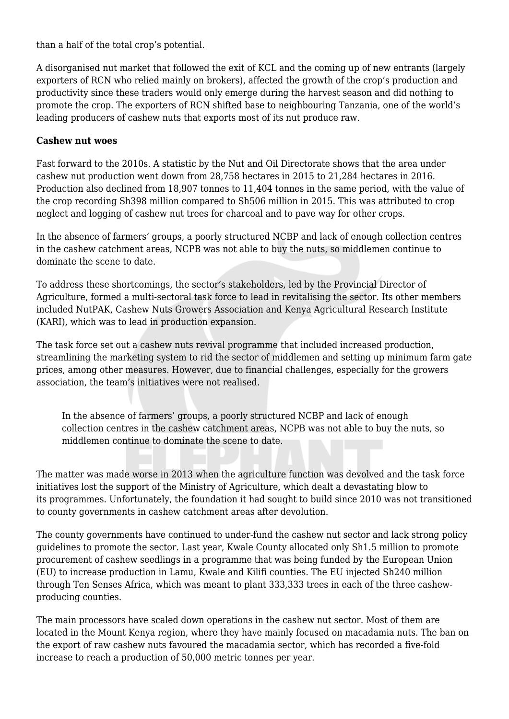than a half of the total crop's potential.

A disorganised nut market that followed the exit of KCL and the coming up of new entrants (largely exporters of RCN who relied mainly on brokers), affected the growth of the crop's production and productivity since these traders would only emerge during the harvest season and did nothing to promote the crop. The exporters of RCN shifted base to neighbouring Tanzania, one of the world's leading producers of cashew nuts that exports most of its nut produce raw.

#### **Cashew nut woes**

Fast forward to the 2010s. A statistic by the Nut and Oil Directorate shows that the area under cashew nut production went down from 28,758 hectares in 2015 to 21,284 hectares in 2016. Production also declined from 18,907 tonnes to 11,404 tonnes in the same period, with the value of the crop recording Sh398 million compared to Sh506 million in 2015. This was attributed to crop neglect and logging of cashew nut trees for charcoal and to pave way for other crops.

In the absence of farmers' groups, a poorly structured NCBP and lack of enough collection centres in the cashew catchment areas, NCPB was not able to buy the nuts, so middlemen continue to dominate the scene to date.

To address these shortcomings, the sector's stakeholders, led by the Provincial Director of Agriculture, formed a multi-sectoral task force to lead in revitalising the sector. Its other members included NutPAK, Cashew Nuts Growers Association and Kenya Agricultural Research Institute (KARI), which was to lead in production expansion.

The task force set out a cashew nuts revival programme that included increased production, streamlining the marketing system to rid the sector of middlemen and setting up minimum farm gate prices, among other measures. However, due to financial challenges, especially for the growers association, the team's initiatives were not realised.

In the absence of farmers' groups, a poorly structured NCBP and lack of enough collection centres in the cashew catchment areas, NCPB was not able to buy the nuts, so middlemen continue to dominate the scene to date.

The matter was made worse in 2013 when the agriculture function was devolved and the task force initiatives lost the support of the Ministry of Agriculture, which dealt a devastating blow to its programmes. Unfortunately, the foundation it had sought to build since 2010 was not transitioned to county governments in cashew catchment areas after devolution.

The county governments have continued to under-fund the cashew nut sector and lack strong policy guidelines to promote the sector. Last year, Kwale County allocated only Sh1.5 million to promote procurement of cashew seedlings in a programme that was being funded by the European Union (EU) to increase production in Lamu, Kwale and Kilifi counties. The EU injected Sh240 million through Ten Senses Africa, which was meant to plant 333,333 trees in each of the three cashewproducing counties.

The main processors have scaled down operations in the cashew nut sector. Most of them are located in the Mount Kenya region, where they have mainly focused on macadamia nuts. The ban on the export of raw cashew nuts favoured the macadamia sector, which has recorded a five-fold increase to reach a production of 50,000 metric tonnes per year.